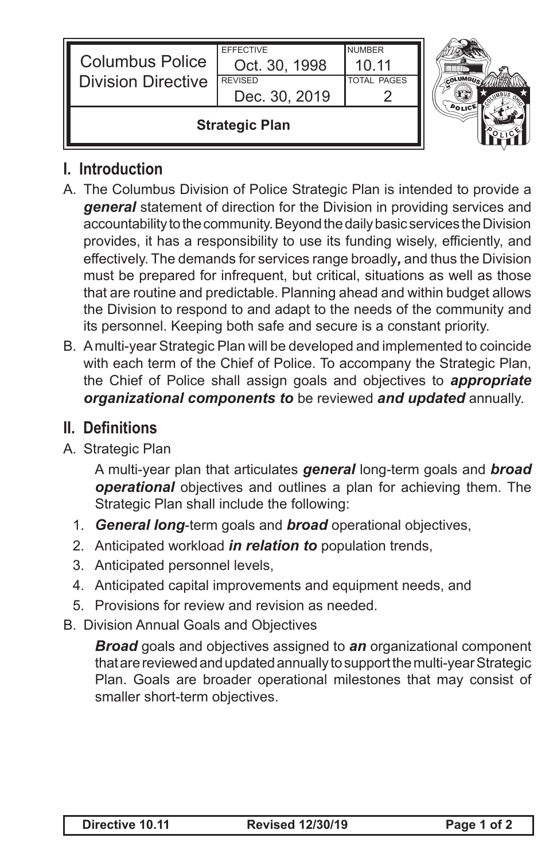| <b>Columbus Police</b><br><b>Division Directive</b> | Oct. 30, 1998<br><b>REVISED</b><br>Dec. 30, 2019 | 10 11<br><b>TOTAL PAGES</b> |  |
|-----------------------------------------------------|--------------------------------------------------|-----------------------------|--|
| <b>Strategic Plan</b>                               |                                                  |                             |  |



## **I. Introduction**

- A. The Columbus Division of Police Strategic Plan is intended to provide a *general* statement of direction for the Division in providing services and accountability to the community. Beyond the daily basic services the Division provides, it has a responsibility to use its funding wisely, efficiently, and effectively. The demands for services range broadly*,* and thus the Division must be prepared for infrequent, but critical, situations as well as those that are routine and predictable. Planning ahead and within budget allows the Division to respond to and adapt to the needs of the community and its personnel. Keeping both safe and secure is a constant priority.
- B. A multi-year Strategic Plan will be developed and implemented to coincide with each term of the Chief of Police. To accompany the Strategic Plan, the Chief of Police shall assign goals and objectives to *appropriate organizational components to* be reviewed *and updated* annually.

## **II. Definitions**

A. Strategic Plan

A multi-year plan that articulates *general* long-term goals and *broad operational* objectives and outlines a plan for achieving them. The Strategic Plan shall include the following:

- 1. *General long*-term goals and *broad* operational objectives,
- 2. Anticipated workload *in relation to* population trends,
- 3. Anticipated personnel levels,
- 4. Anticipated capital improvements and equipment needs, and
- 5. Provisions for review and revision as needed.
- B. Division Annual Goals and Objectives

*Broad* goals and objectives assigned to *an* organizational component that are reviewed and updated annually to support the multi-year Strategic Plan. Goals are broader operational milestones that may consist of smaller short-term objectives.